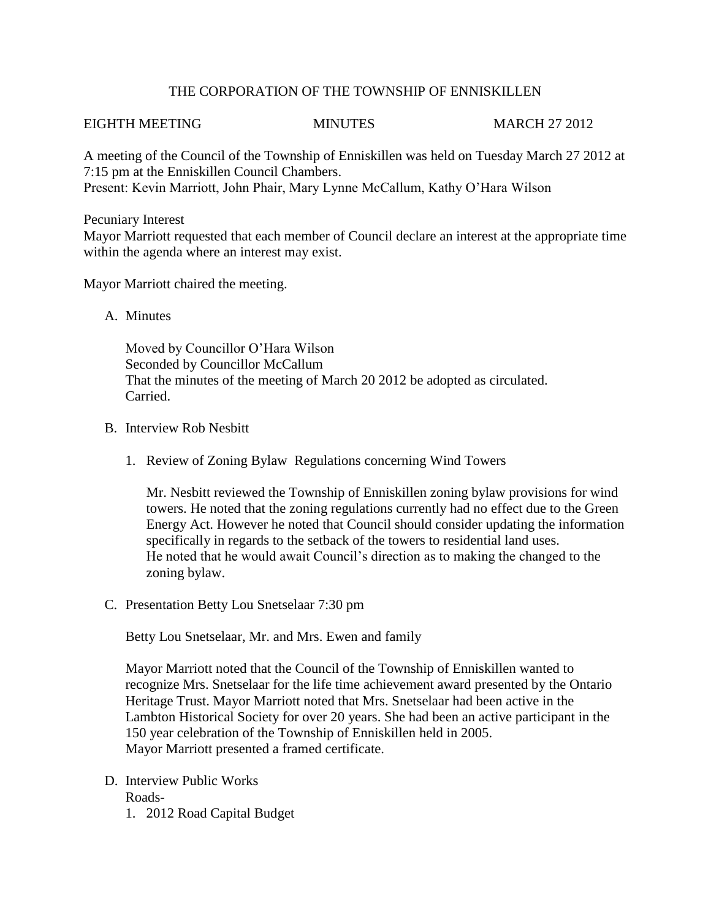## THE CORPORATION OF THE TOWNSHIP OF ENNISKILLEN

## EIGHTH MEETING MINUTES MARCH 27 2012

A meeting of the Council of the Township of Enniskillen was held on Tuesday March 27 2012 at 7:15 pm at the Enniskillen Council Chambers. Present: Kevin Marriott, John Phair, Mary Lynne McCallum, Kathy O'Hara Wilson

Pecuniary Interest Mayor Marriott requested that each member of Council declare an interest at the appropriate time within the agenda where an interest may exist.

Mayor Marriott chaired the meeting.

A. Minutes

Moved by Councillor O'Hara Wilson Seconded by Councillor McCallum That the minutes of the meeting of March 20 2012 be adopted as circulated. Carried.

- B. Interview Rob Nesbitt
	- 1. Review of Zoning Bylaw Regulations concerning Wind Towers

Mr. Nesbitt reviewed the Township of Enniskillen zoning bylaw provisions for wind towers. He noted that the zoning regulations currently had no effect due to the Green Energy Act. However he noted that Council should consider updating the information specifically in regards to the setback of the towers to residential land uses. He noted that he would await Council's direction as to making the changed to the zoning bylaw.

C. Presentation Betty Lou Snetselaar 7:30 pm

Betty Lou Snetselaar, Mr. and Mrs. Ewen and family

Mayor Marriott noted that the Council of the Township of Enniskillen wanted to recognize Mrs. Snetselaar for the life time achievement award presented by the Ontario Heritage Trust. Mayor Marriott noted that Mrs. Snetselaar had been active in the Lambton Historical Society for over 20 years. She had been an active participant in the 150 year celebration of the Township of Enniskillen held in 2005. Mayor Marriott presented a framed certificate.

- D. Interview Public Works Roads-
	- 1. 2012 Road Capital Budget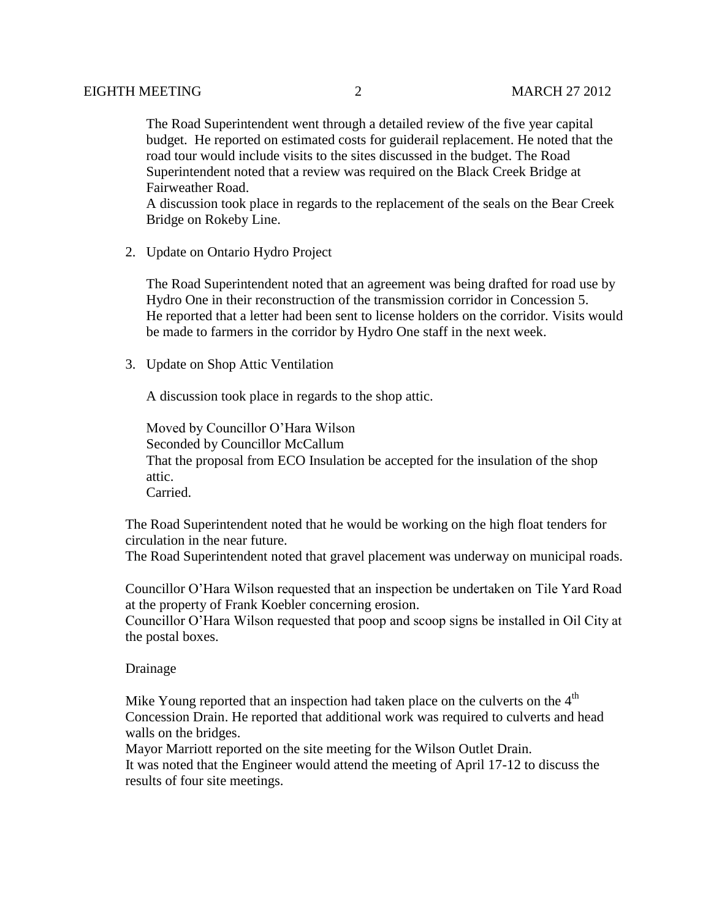The Road Superintendent went through a detailed review of the five year capital budget. He reported on estimated costs for guiderail replacement. He noted that the road tour would include visits to the sites discussed in the budget. The Road Superintendent noted that a review was required on the Black Creek Bridge at Fairweather Road.

A discussion took place in regards to the replacement of the seals on the Bear Creek Bridge on Rokeby Line.

2. Update on Ontario Hydro Project

The Road Superintendent noted that an agreement was being drafted for road use by Hydro One in their reconstruction of the transmission corridor in Concession 5. He reported that a letter had been sent to license holders on the corridor. Visits would be made to farmers in the corridor by Hydro One staff in the next week.

3. Update on Shop Attic Ventilation

A discussion took place in regards to the shop attic.

Moved by Councillor O'Hara Wilson Seconded by Councillor McCallum That the proposal from ECO Insulation be accepted for the insulation of the shop attic. Carried.

The Road Superintendent noted that he would be working on the high float tenders for circulation in the near future.

The Road Superintendent noted that gravel placement was underway on municipal roads.

Councillor O'Hara Wilson requested that an inspection be undertaken on Tile Yard Road at the property of Frank Koebler concerning erosion.

Councillor O'Hara Wilson requested that poop and scoop signs be installed in Oil City at the postal boxes.

## Drainage

Mike Young reported that an inspection had taken place on the culverts on the  $4<sup>th</sup>$  Concession Drain. He reported that additional work was required to culverts and head walls on the bridges.

Mayor Marriott reported on the site meeting for the Wilson Outlet Drain.

 It was noted that the Engineer would attend the meeting of April 17-12 to discuss the results of four site meetings.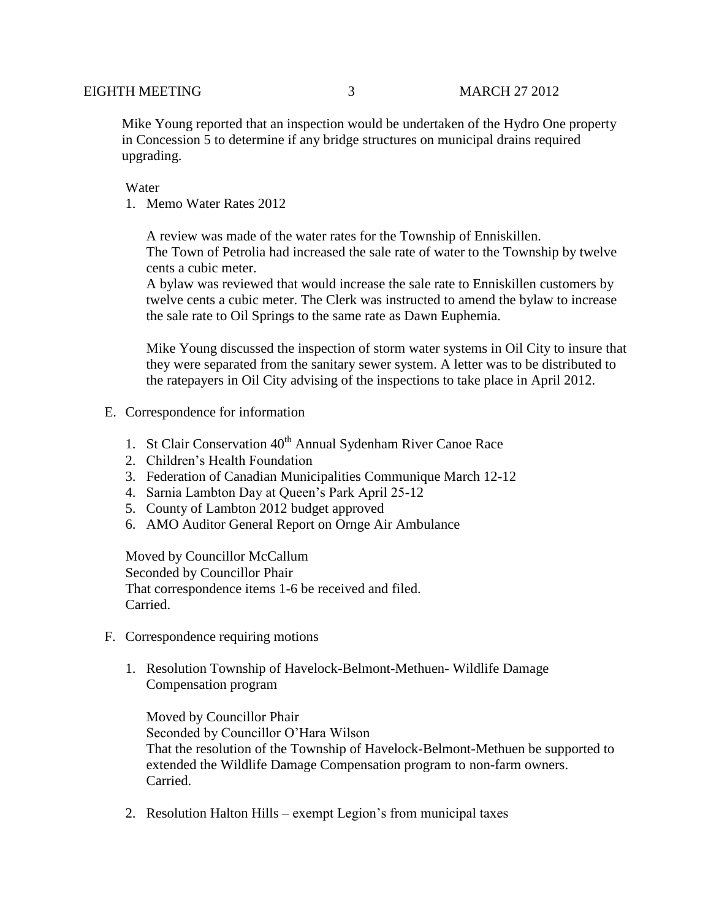Mike Young reported that an inspection would be undertaken of the Hydro One property in Concession 5 to determine if any bridge structures on municipal drains required upgrading.

Water

1. Memo Water Rates 2012

A review was made of the water rates for the Township of Enniskillen. The Town of Petrolia had increased the sale rate of water to the Township by twelve cents a cubic meter.

A bylaw was reviewed that would increase the sale rate to Enniskillen customers by twelve cents a cubic meter. The Clerk was instructed to amend the bylaw to increase the sale rate to Oil Springs to the same rate as Dawn Euphemia.

Mike Young discussed the inspection of storm water systems in Oil City to insure that they were separated from the sanitary sewer system. A letter was to be distributed to the ratepayers in Oil City advising of the inspections to take place in April 2012.

- E. Correspondence for information
	- 1. St Clair Conservation 40<sup>th</sup> Annual Sydenham River Canoe Race
	- 2. Children's Health Foundation
	- 3. Federation of Canadian Municipalities Communique March 12-12
	- 4. Sarnia Lambton Day at Queen's Park April 25-12
	- 5. County of Lambton 2012 budget approved
	- 6. AMO Auditor General Report on Ornge Air Ambulance

Moved by Councillor McCallum Seconded by Councillor Phair That correspondence items 1-6 be received and filed. Carried.

- F. Correspondence requiring motions
	- 1. Resolution Township of Havelock-Belmont-Methuen- Wildlife Damage Compensation program

Moved by Councillor Phair Seconded by Councillor O'Hara Wilson That the resolution of the Township of Havelock-Belmont-Methuen be supported to extended the Wildlife Damage Compensation program to non-farm owners. Carried.

2. Resolution Halton Hills – exempt Legion's from municipal taxes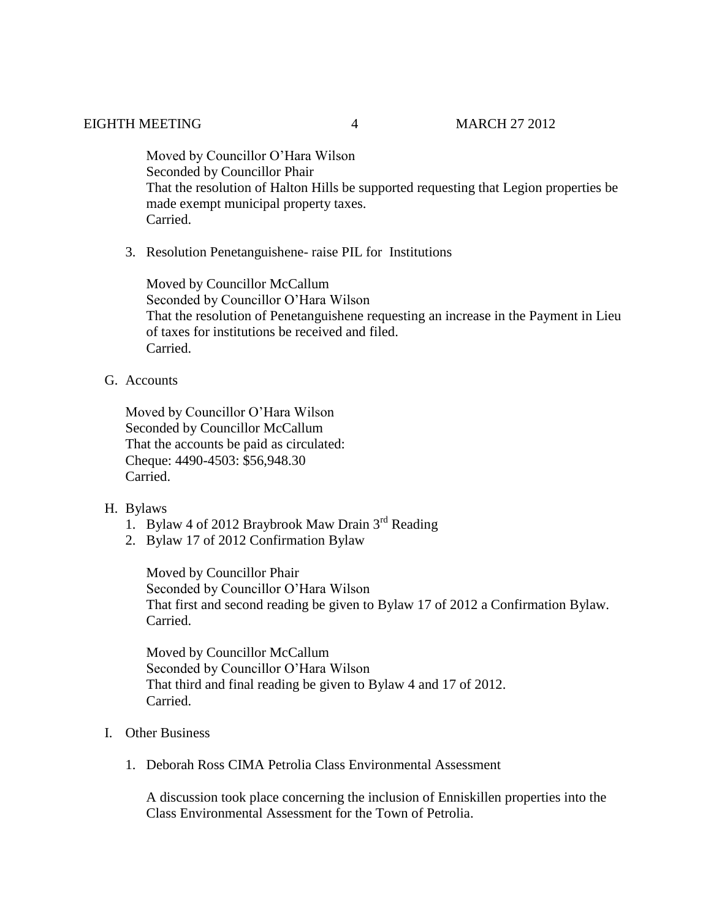Moved by Councillor O'Hara Wilson Seconded by Councillor Phair That the resolution of Halton Hills be supported requesting that Legion properties be made exempt municipal property taxes. Carried.

3. Resolution Penetanguishene- raise PIL for Institutions

Moved by Councillor McCallum Seconded by Councillor O'Hara Wilson That the resolution of Penetanguishene requesting an increase in the Payment in Lieu of taxes for institutions be received and filed. Carried.

G. Accounts

Moved by Councillor O'Hara Wilson Seconded by Councillor McCallum That the accounts be paid as circulated: Cheque: 4490-4503: \$56,948.30 Carried.

- H. Bylaws
	- 1. Bylaw 4 of 2012 Braybrook Maw Drain  $3<sup>rd</sup>$  Reading
	- 2. Bylaw 17 of 2012 Confirmation Bylaw

Moved by Councillor Phair Seconded by Councillor O'Hara Wilson That first and second reading be given to Bylaw 17 of 2012 a Confirmation Bylaw. Carried.

Moved by Councillor McCallum Seconded by Councillor O'Hara Wilson That third and final reading be given to Bylaw 4 and 17 of 2012. Carried.

- I. Other Business
	- 1. Deborah Ross CIMA Petrolia Class Environmental Assessment

A discussion took place concerning the inclusion of Enniskillen properties into the Class Environmental Assessment for the Town of Petrolia.